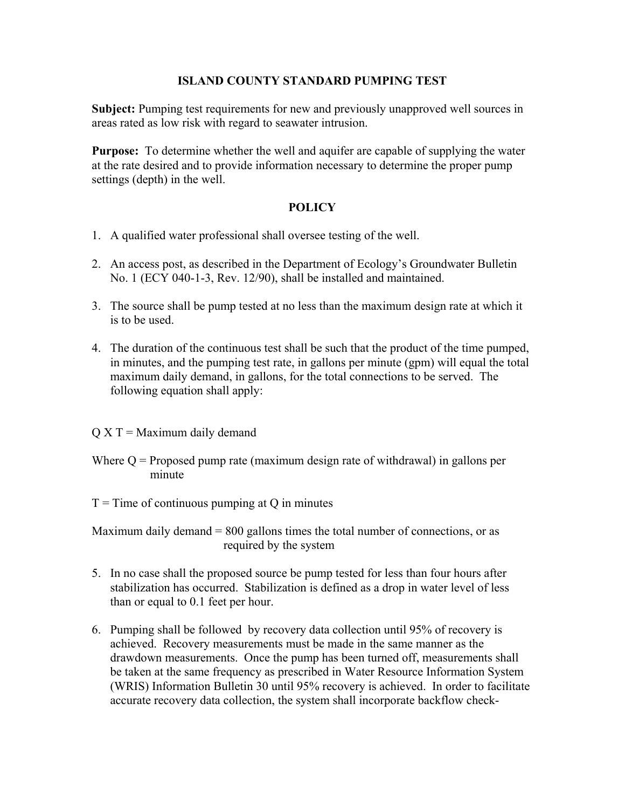## **ISLAND COUNTY STANDARD PUMPING TEST**

**Subject:** Pumping test requirements for new and previously unapproved well sources in areas rated as low risk with regard to seawater intrusion.

**Purpose:** To determine whether the well and aquifer are capable of supplying the water at the rate desired and to provide information necessary to determine the proper pump settings (depth) in the well.

## **POLICY**

- 1. A qualified water professional shall oversee testing of the well.
- 2. An access post, as described in the Department of Ecology's Groundwater Bulletin No. 1 (ECY 040-1-3, Rev. 12/90), shall be installed and maintained.
- 3. The source shall be pump tested at no less than the maximum design rate at which it is to be used.
- 4. The duration of the continuous test shall be such that the product of the time pumped, in minutes, and the pumping test rate, in gallons per minute (gpm) will equal the total maximum daily demand, in gallons, for the total connections to be served. The following equation shall apply:
- $Q X T =$  Maximum daily demand
- Where  $Q =$  Proposed pump rate (maximum design rate of withdrawal) in gallons per minute

 $T =$ Time of continuous pumping at Q in minutes

Maximum daily demand  $= 800$  gallons times the total number of connections, or as required by the system

- 5. In no case shall the proposed source be pump tested for less than four hours after stabilization has occurred. Stabilization is defined as a drop in water level of less than or equal to 0.1 feet per hour.
- 6. Pumping shall be followed by recovery data collection until 95% of recovery is achieved. Recovery measurements must be made in the same manner as the drawdown measurements. Once the pump has been turned off, measurements shall be taken at the same frequency as prescribed in Water Resource Information System (WRIS) Information Bulletin 30 until 95% recovery is achieved. In order to facilitate accurate recovery data collection, the system shall incorporate backflow check-